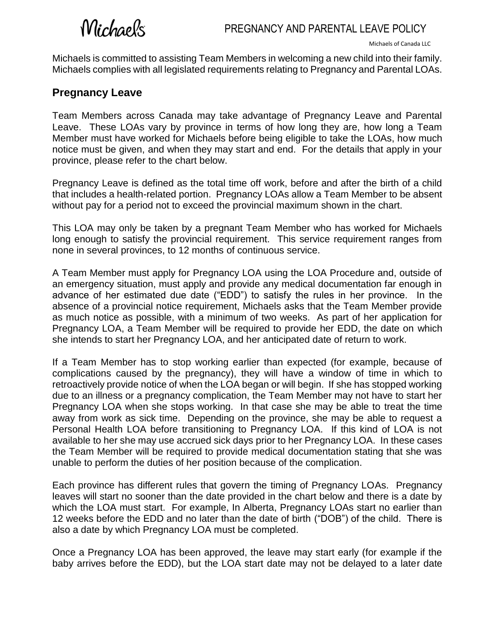## Michaels

Michaels is committed to assisting Team Members in welcoming a new child into their family. Michaels complies with all legislated requirements relating to Pregnancy and Parental LOAs.

## **Pregnancy Leave**

Team Members across Canada may take advantage of Pregnancy Leave and Parental Leave. These LOAs vary by province in terms of how long they are, how long a Team Member must have worked for Michaels before being eligible to take the LOAs, how much notice must be given, and when they may start and end. For the details that apply in your province, please refer to the chart below.

Pregnancy Leave is defined as the total time off work, before and after the birth of a child that includes a health-related portion. Pregnancy LOAs allow a Team Member to be absent without pay for a period not to exceed the provincial maximum shown in the chart.

This LOA may only be taken by a pregnant Team Member who has worked for Michaels long enough to satisfy the provincial requirement. This service requirement ranges from none in several provinces, to 12 months of continuous service.

A Team Member must apply for Pregnancy LOA using the LOA Procedure and, outside of an emergency situation, must apply and provide any medical documentation far enough in advance of her estimated due date ("EDD") to satisfy the rules in her province. In the absence of a provincial notice requirement, Michaels asks that the Team Member provide as much notice as possible, with a minimum of two weeks. As part of her application for Pregnancy LOA, a Team Member will be required to provide her EDD, the date on which she intends to start her Pregnancy LOA, and her anticipated date of return to work.

If a Team Member has to stop working earlier than expected (for example, because of complications caused by the pregnancy), they will have a window of time in which to retroactively provide notice of when the LOA began or will begin. If she has stopped working due to an illness or a pregnancy complication, the Team Member may not have to start her Pregnancy LOA when she stops working. In that case she may be able to treat the time away from work as sick time. Depending on the province, she may be able to request a Personal Health LOA before transitioning to Pregnancy LOA. If this kind of LOA is not available to her she may use accrued sick days prior to her Pregnancy LOA. In these cases the Team Member will be required to provide medical documentation stating that she was unable to perform the duties of her position because of the complication.

Each province has different rules that govern the timing of Pregnancy LOAs. Pregnancy leaves will start no sooner than the date provided in the chart below and there is a date by which the LOA must start. For example, In Alberta, Pregnancy LOAs start no earlier than 12 weeks before the EDD and no later than the date of birth ("DOB") of the child. There is also a date by which Pregnancy LOA must be completed.

Once a Pregnancy LOA has been approved, the leave may start early (for example if the baby arrives before the EDD), but the LOA start date may not be delayed to a later date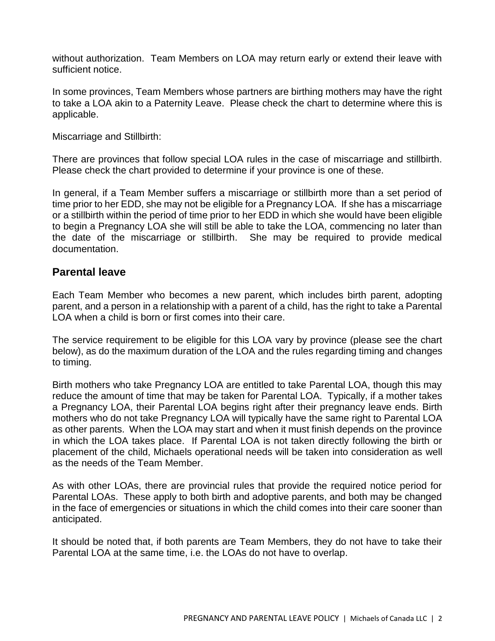without authorization. Team Members on LOA may return early or extend their leave with sufficient notice.

In some provinces, Team Members whose partners are birthing mothers may have the right to take a LOA akin to a Paternity Leave. Please check the chart to determine where this is applicable.

Miscarriage and Stillbirth:

There are provinces that follow special LOA rules in the case of miscarriage and stillbirth. Please check the chart provided to determine if your province is one of these.

In general, if a Team Member suffers a miscarriage or stillbirth more than a set period of time prior to her EDD, she may not be eligible for a Pregnancy LOA. If she has a miscarriage or a stillbirth within the period of time prior to her EDD in which she would have been eligible to begin a Pregnancy LOA she will still be able to take the LOA, commencing no later than the date of the miscarriage or stillbirth. She may be required to provide medical documentation.

## **Parental leave**

Each Team Member who becomes a new parent, which includes birth parent, adopting parent, and a person in a relationship with a parent of a child, has the right to take a Parental LOA when a child is born or first comes into their care.

The service requirement to be eligible for this LOA vary by province (please see the chart below), as do the maximum duration of the LOA and the rules regarding timing and changes to timing.

Birth mothers who take Pregnancy LOA are entitled to take Parental LOA, though this may reduce the amount of time that may be taken for Parental LOA. Typically, if a mother takes a Pregnancy LOA, their Parental LOA begins right after their pregnancy leave ends. Birth mothers who do not take Pregnancy LOA will typically have the same right to Parental LOA as other parents. When the LOA may start and when it must finish depends on the province in which the LOA takes place. If Parental LOA is not taken directly following the birth or placement of the child, Michaels operational needs will be taken into consideration as well as the needs of the Team Member.

As with other LOAs, there are provincial rules that provide the required notice period for Parental LOAs. These apply to both birth and adoptive parents, and both may be changed in the face of emergencies or situations in which the child comes into their care sooner than anticipated.

It should be noted that, if both parents are Team Members, they do not have to take their Parental LOA at the same time, i.e. the LOAs do not have to overlap.